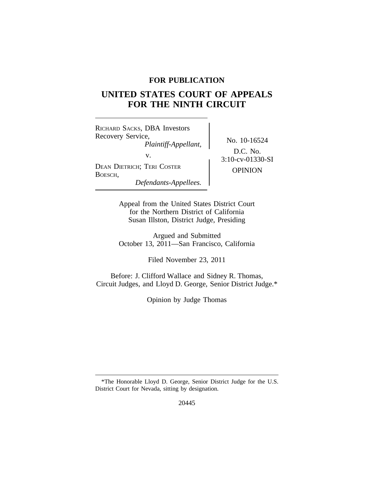### **FOR PUBLICATION**

# **UNITED STATES COURT OF APPEALS FOR THE NINTH CIRCUIT**

<sup>R</sup>ICHARD SACKS, DBA Investors Recovery Service,<br> *Plaintiff-Appellant*, No. 10-16524 v.  $3:10$ -cv-01330-SI DEAN DIETRICH; TERI COSTER OPINION BOESCH, *Defendants-Appellees.*

D.C. No.

Appeal from the United States District Court for the Northern District of California Susan Illston, District Judge, Presiding

Argued and Submitted October 13, 2011—San Francisco, California

Filed November 23, 2011

Before: J. Clifford Wallace and Sidney R. Thomas, Circuit Judges, and Lloyd D. George, Senior District Judge.\*

Opinion by Judge Thomas

20445

<sup>\*</sup>The Honorable Lloyd D. George, Senior District Judge for the U.S. District Court for Nevada, sitting by designation.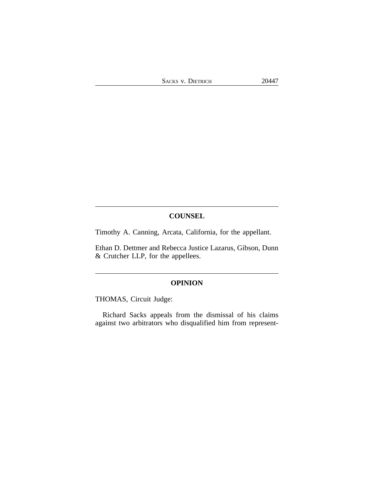### **COUNSEL**

Timothy A. Canning, Arcata, California, for the appellant.

Ethan D. Dettmer and Rebecca Justice Lazarus, Gibson, Dunn & Crutcher LLP, for the appellees.

### **OPINION**

THOMAS, Circuit Judge:

Richard Sacks appeals from the dismissal of his claims against two arbitrators who disqualified him from represent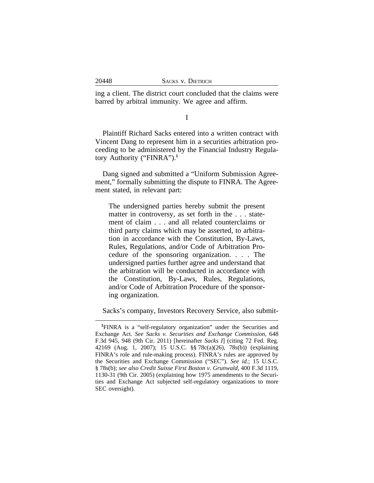ing a client. The district court concluded that the claims were barred by arbitral immunity. We agree and affirm.

I

Plaintiff Richard Sacks entered into a written contract with Vincent Dang to represent him in a securities arbitration proceeding to be administered by the Financial Industry Regulatory Authority ("FINRA").**<sup>1</sup>**

Dang signed and submitted a "Uniform Submission Agreement," formally submitting the dispute to FINRA. The Agreement stated, in relevant part:

The undersigned parties hereby submit the present matter in controversy, as set forth in the . . . statement of claim . . . and all related counterclaims or third party claims which may be asserted, to arbitration in accordance with the Constitution, By-Laws, Rules, Regulations, and/or Code of Arbitration Procedure of the sponsoring organization. . . . The undersigned parties further agree and understand that the arbitration will be conducted in accordance with the Constitution, By-Laws, Rules, Regulations, and/or Code of Arbitration Procedure of the sponsoring organization.

Sacks's company, Investors Recovery Service, also submit-

**<sup>1</sup>**FINRA is a "self-regulatory organization" under the Securities and Exchange Act. *See Sacks v. Securities and Exchange Commission*, 648 F.3d 945, 948 (9th Cir. 2011) [hereinafter *Sacks I*] (citing 72 Fed. Reg. 42169 (Aug. 1, 2007); 15 U.S.C. §§ 78c(a)(26), 78s(b)) (explaining FINRA's role and rule-making process). FINRA's rules are approved by the Securities and Exchange Commission ("SEC"). *See id.*; 15 U.S.C. § 78s(b); *see also Credit Suisse First Boston v. Grunwald*, 400 F.3d 1119, 1130-31 (9th Cir. 2005) (explaining how 1975 amendments to the Securities and Exchange Act subjected self-regulatory organizations to more SEC oversight).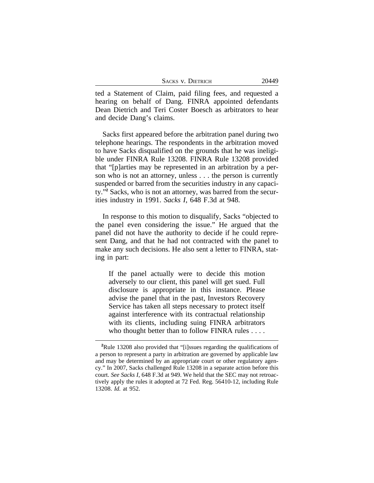| <b>SACKS V. DIETRICH</b> | 20449 |
|--------------------------|-------|
|--------------------------|-------|

ted a Statement of Claim, paid filing fees, and requested a hearing on behalf of Dang. FINRA appointed defendants Dean Dietrich and Teri Coster Boesch as arbitrators to hear and decide Dang's claims.

Sacks first appeared before the arbitration panel during two telephone hearings. The respondents in the arbitration moved to have Sacks disqualified on the grounds that he was ineligible under FINRA Rule 13208. FINRA Rule 13208 provided that "[p]arties may be represented in an arbitration by a person who is not an attorney, unless . . . the person is currently suspended or barred from the securities industry in any capacity."**<sup>2</sup>** Sacks, who is not an attorney, was barred from the securities industry in 1991. *Sacks I*, 648 F.3d at 948.

In response to this motion to disqualify, Sacks "objected to the panel even considering the issue." He argued that the panel did not have the authority to decide if he could represent Dang, and that he had not contracted with the panel to make any such decisions. He also sent a letter to FINRA, stating in part:

If the panel actually were to decide this motion adversely to our client, this panel will get sued. Full disclosure is appropriate in this instance. Please advise the panel that in the past, Investors Recovery Service has taken all steps necessary to protect itself against interference with its contractual relationship with its clients, including suing FINRA arbitrators who thought better than to follow FINRA rules . . . .

**<sup>2</sup>**Rule 13208 also provided that "[i]ssues regarding the qualifications of a person to represent a party in arbitration are governed by applicable law and may be determined by an appropriate court or other regulatory agency." In 2007, Sacks challenged Rule 13208 in a separate action before this court. *See Sacks I*, 648 F.3d at 949. We held that the SEC may not retroactively apply the rules it adopted at 72 Fed. Reg. 56410-12, including Rule 13208. *Id.* at 952.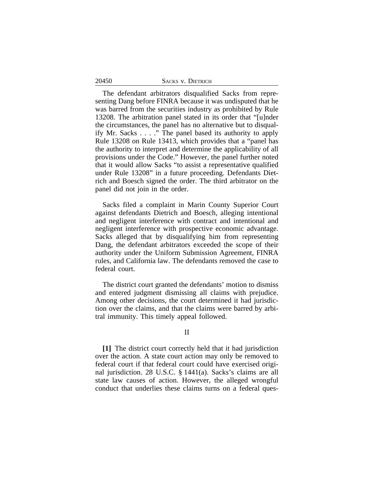|  |  | <b>SACKS V. DIETRICH</b> |
|--|--|--------------------------|
|--|--|--------------------------|

The defendant arbitrators disqualified Sacks from representing Dang before FINRA because it was undisputed that he was barred from the securities industry as prohibited by Rule 13208. The arbitration panel stated in its order that "[u]nder the circumstances, the panel has no alternative but to disqualify Mr. Sacks . . . ." The panel based its authority to apply Rule 13208 on Rule 13413, which provides that a "panel has the authority to interpret and determine the applicability of all provisions under the Code." However, the panel further noted that it would allow Sacks "to assist a representative qualified under Rule 13208" in a future proceeding. Defendants Dietrich and Boesch signed the order. The third arbitrator on the panel did not join in the order.

Sacks filed a complaint in Marin County Superior Court against defendants Dietrich and Boesch, alleging intentional and negligent interference with contract and intentional and negligent interference with prospective economic advantage. Sacks alleged that by disqualifying him from representing Dang, the defendant arbitrators exceeded the scope of their authority under the Uniform Submission Agreement, FINRA rules, and California law. The defendants removed the case to federal court.

The district court granted the defendants' motion to dismiss and entered judgment dismissing all claims with prejudice. Among other decisions, the court determined it had jurisdiction over the claims, and that the claims were barred by arbitral immunity. This timely appeal followed.

### II

**[1]** The district court correctly held that it had jurisdiction over the action. A state court action may only be removed to federal court if that federal court could have exercised original jurisdiction. 28 U.S.C. § 1441(a). Sacks's claims are all state law causes of action. However, the alleged wrongful conduct that underlies these claims turns on a federal ques-

#### 20450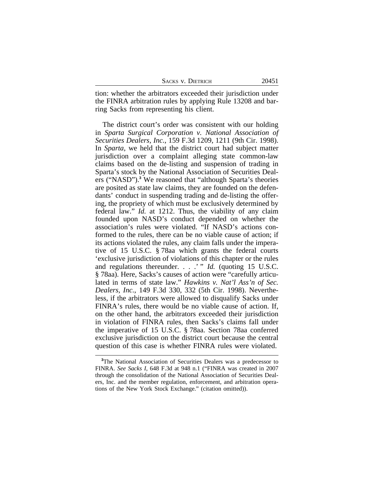|  | Sacks v. Dietrich |
|--|-------------------|
|  |                   |

tion: whether the arbitrators exceeded their jurisdiction under the FINRA arbitration rules by applying Rule 13208 and barring Sacks from representing his client.

The district court's order was consistent with our holding in *Sparta Surgical Corporation v. National Association of Securities Dealers, Inc.*, 159 F.3d 1209, 1211 (9th Cir. 1998). In *Sparta*, we held that the district court had subject matter jurisdiction over a complaint alleging state common-law claims based on the de-listing and suspension of trading in Sparta's stock by the National Association of Securities Dealers ("NASD").**<sup>3</sup>** We reasoned that "although Sparta's theories are posited as state law claims, they are founded on the defendants' conduct in suspending trading and de-listing the offering, the propriety of which must be exclusively determined by federal law." *Id.* at 1212. Thus, the viability of any claim founded upon NASD's conduct depended on whether the association's rules were violated. "If NASD's actions conformed to the rules, there can be no viable cause of action; if its actions violated the rules, any claim falls under the imperative of 15 U.S.C. § 78aa which grants the federal courts 'exclusive jurisdiction of violations of this chapter or the rules and regulations thereunder. . . .' " *Id.* (quoting 15 U.S.C. § 78aa). Here, Sacks's causes of action were "carefully articulated in terms of state law." *Hawkins v. Nat'l Ass'n of Sec. Dealers, Inc.*, 149 F.3d 330, 332 (5th Cir. 1998). Nevertheless, if the arbitrators were allowed to disqualify Sacks under FINRA's rules, there would be no viable cause of action. If, on the other hand, the arbitrators exceeded their jurisdiction in violation of FINRA rules, then Sacks's claims fall under the imperative of 15 U.S.C. § 78aa. Section 78aa conferred exclusive jurisdiction on the district court because the central question of this case is whether FINRA rules were violated.

**<sup>3</sup>**The National Association of Securities Dealers was a predecessor to FINRA. *See Sacks I*, 648 F.3d at 948 n.1 ("FINRA was created in 2007 through the consolidation of the National Association of Securities Dealers, Inc. and the member regulation, enforcement, and arbitration operations of the New York Stock Exchange." (citation omitted)).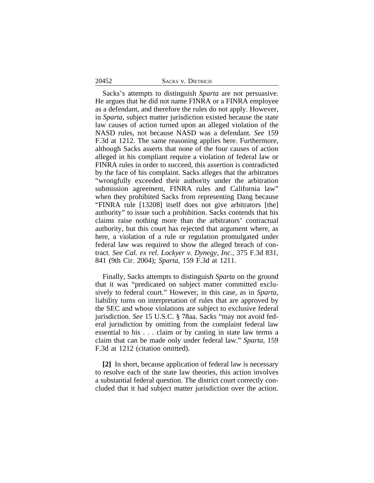#### 20452 SACKS V. DIETRICH

Sacks's attempts to distinguish *Sparta* are not persuasive. He argues that he did not name FINRA or a FINRA employee as a defendant, and therefore the rules do not apply. However, in *Sparta*, subject matter jurisdiction existed because the state law causes of action turned upon an alleged violation of the NASD rules, not because NASD was a defendant. *See* 159 F.3d at 1212. The same reasoning applies here. Furthermore, although Sacks asserts that none of the four causes of action alleged in his compliant require a violation of federal law or FINRA rules in order to succeed, this assertion is contradicted by the face of his complaint. Sacks alleges that the arbitrators "wrongfully exceeded their authority under the arbitration submission agreement, FINRA rules and California law" when they prohibited Sacks from representing Dang because "FINRA rule [13208] itself does not give arbitrators [the] authority" to issue such a prohibition. Sacks contends that his claims raise nothing more than the arbitrators' contractual authority, but this court has rejected that argument where, as here, a violation of a rule or regulation promulgated under federal law was required to show the alleged breach of contract. *See Cal. ex rel. Lockyer v. Dynegy, Inc.*, 375 F.3d 831, 841 (9th Cir. 2004); *Sparta*, 159 F.3d at 1211.

Finally, Sacks attempts to distinguish *Sparta* on the ground that it was "predicated on subject matter committed exclusively to federal court." However, in this case, as in *Sparta*, liability turns on interpretation of rules that are approved by the SEC and whose violations are subject to exclusive federal jurisdiction. *See* 15 U.S.C. § 78aa. Sacks "may not avoid federal jurisdiction by omitting from the complaint federal law essential to his . . . claim or by casting in state law terms a claim that can be made only under federal law." *Sparta*, 159 F.3d at 1212 (citation omitted).

**[2]** In short, because application of federal law is necessary to resolve each of the state law theories, this action involves a substantial federal question. The district court correctly concluded that it had subject matter jurisdiction over the action.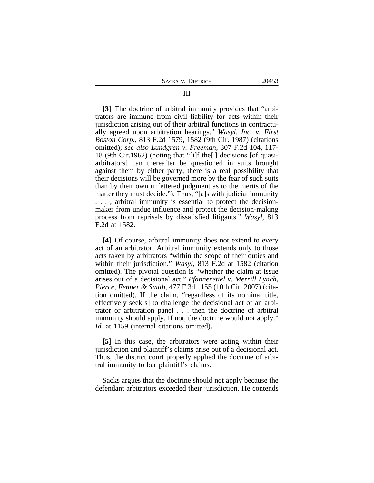**[3]** The doctrine of arbitral immunity provides that "arbitrators are immune from civil liability for acts within their jurisdiction arising out of their arbitral functions in contractually agreed upon arbitration hearings." *Wasyl, Inc. v. First Boston Corp.*, 813 F.2d 1579, 1582 (9th Cir. 1987) (citations omitted); *see also Lundgren v. Freeman*, 307 F.2d 104, 117- 18 (9th Cir.1962) (noting that "[i]f the[ ] decisions [of quasiarbitrators] can thereafter be questioned in suits brought against them by either party, there is a real possibility that their decisions will be governed more by the fear of such suits than by their own unfettered judgment as to the merits of the matter they must decide."). Thus, "[a]s with judicial immunity . . . , arbitral immunity is essential to protect the decisionmaker from undue influence and protect the decision-making process from reprisals by dissatisfied litigants." *Wasyl*, 813 F.2d at 1582.

**[4]** Of course, arbitral immunity does not extend to every act of an arbitrator. Arbitral immunity extends only to those acts taken by arbitrators "within the scope of their duties and within their jurisdiction." *Wasyl*, 813 F.2d at 1582 (citation omitted). The pivotal question is "whether the claim at issue arises out of a decisional act." *Pfannenstiel v. Merrill Lynch, Pierce, Fenner & Smith*, 477 F.3d 1155 (10th Cir. 2007) (citation omitted). If the claim, "regardless of its nominal title, effectively seek[s] to challenge the decisional act of an arbitrator or arbitration panel . . . then the doctrine of arbitral immunity should apply. If not, the doctrine would not apply." *Id.* at 1159 (internal citations omitted).

**[5]** In this case, the arbitrators were acting within their jurisdiction and plaintiff's claims arise out of a decisional act. Thus, the district court properly applied the doctrine of arbitral immunity to bar plaintiff's claims.

Sacks argues that the doctrine should not apply because the defendant arbitrators exceeded their jurisdiction. He contends

### III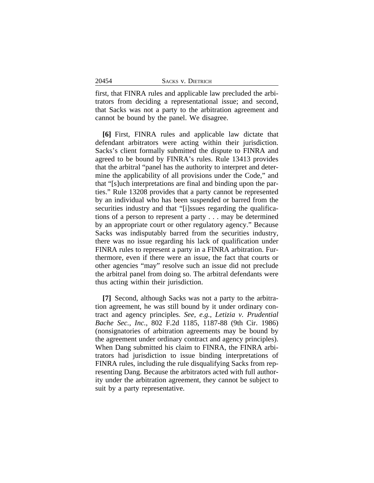20454

first, that FINRA rules and applicable law precluded the arbitrators from deciding a representational issue; and second, that Sacks was not a party to the arbitration agreement and cannot be bound by the panel. We disagree.

**[6]** First, FINRA rules and applicable law dictate that defendant arbitrators were acting within their jurisdiction. Sacks's client formally submitted the dispute to FINRA and agreed to be bound by FINRA's rules. Rule 13413 provides that the arbitral "panel has the authority to interpret and determine the applicability of all provisions under the Code," and that "[s]uch interpretations are final and binding upon the parties." Rule 13208 provides that a party cannot be represented by an individual who has been suspended or barred from the securities industry and that "[i]ssues regarding the qualifications of a person to represent a party . . . may be determined by an appropriate court or other regulatory agency." Because Sacks was indisputably barred from the securities industry, there was no issue regarding his lack of qualification under FINRA rules to represent a party in a FINRA arbitration. Furthermore, even if there were an issue, the fact that courts or other agencies "may" resolve such an issue did not preclude the arbitral panel from doing so. The arbitral defendants were thus acting within their jurisdiction.

**[7]** Second, although Sacks was not a party to the arbitration agreement, he was still bound by it under ordinary contract and agency principles. *See, e.g., Letizia v. Prudential Bache Sec., Inc.*, 802 F.2d 1185, 1187-88 (9th Cir. 1986) (nonsignatories of arbitration agreements may be bound by the agreement under ordinary contract and agency principles). When Dang submitted his claim to FINRA, the FINRA arbitrators had jurisdiction to issue binding interpretations of FINRA rules, including the rule disqualifying Sacks from representing Dang. Because the arbitrators acted with full authority under the arbitration agreement, they cannot be subject to suit by a party representative.